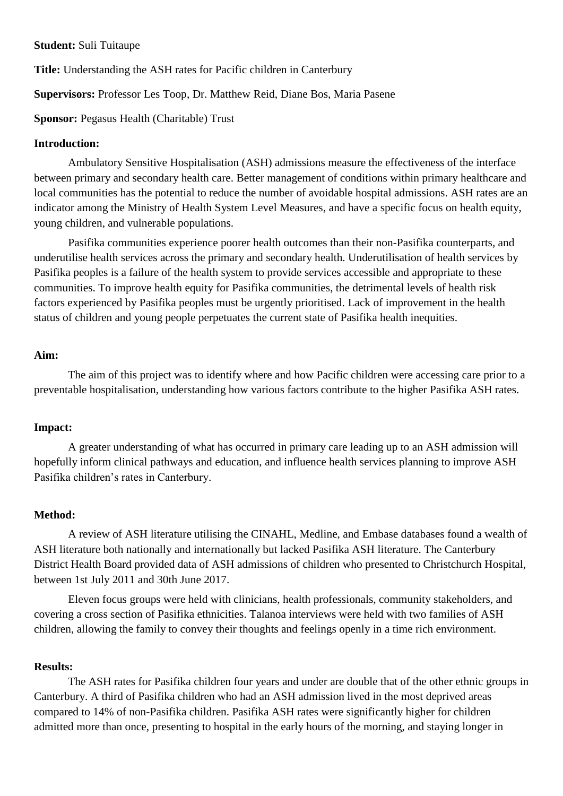### **Student:** Suli Tuitaupe

**Title:** Understanding the ASH rates for Pacific children in Canterbury

**Supervisors:** Professor Les Toop, Dr. Matthew Reid, Diane Bos, Maria Pasene

**Sponsor:** Pegasus Health (Charitable) Trust

### **Introduction:**

Ambulatory Sensitive Hospitalisation (ASH) admissions measure the effectiveness of the interface between primary and secondary health care. Better management of conditions within primary healthcare and local communities has the potential to reduce the number of avoidable hospital admissions. ASH rates are an indicator among the Ministry of Health System Level Measures, and have a specific focus on health equity, young children, and vulnerable populations.

Pasifika communities experience poorer health outcomes than their non-Pasifika counterparts, and underutilise health services across the primary and secondary health. Underutilisation of health services by Pasifika peoples is a failure of the health system to provide services accessible and appropriate to these communities. To improve health equity for Pasifika communities, the detrimental levels of health risk factors experienced by Pasifika peoples must be urgently prioritised. Lack of improvement in the health status of children and young people perpetuates the current state of Pasifika health inequities.

### **Aim:**

The aim of this project was to identify where and how Pacific children were accessing care prior to a preventable hospitalisation, understanding how various factors contribute to the higher Pasifika ASH rates.

### **Impact:**

A greater understanding of what has occurred in primary care leading up to an ASH admission will hopefully inform clinical pathways and education, and influence health services planning to improve ASH Pasifika children's rates in Canterbury.

## **Method:**

A review of ASH literature utilising the CINAHL, Medline, and Embase databases found a wealth of ASH literature both nationally and internationally but lacked Pasifika ASH literature. The Canterbury District Health Board provided data of ASH admissions of children who presented to Christchurch Hospital, between 1st July 2011 and 30th June 2017.

Eleven focus groups were held with clinicians, health professionals, community stakeholders, and covering a cross section of Pasifika ethnicities. Talanoa interviews were held with two families of ASH children, allowing the family to convey their thoughts and feelings openly in a time rich environment.

### **Results:**

The ASH rates for Pasifika children four years and under are double that of the other ethnic groups in Canterbury. A third of Pasifika children who had an ASH admission lived in the most deprived areas compared to 14% of non-Pasifika children. Pasifika ASH rates were significantly higher for children admitted more than once, presenting to hospital in the early hours of the morning, and staying longer in